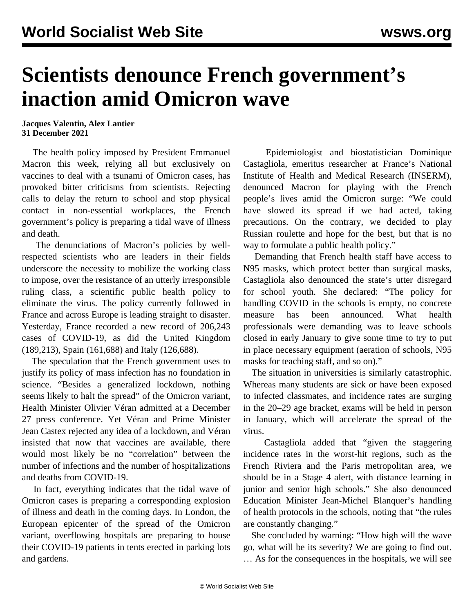## **Scientists denounce French government's inaction amid Omicron wave**

## **Jacques Valentin, Alex Lantier 31 December 2021**

 The health policy imposed by President Emmanuel Macron this week, relying all but exclusively on vaccines to deal with a tsunami of Omicron cases, has provoked bitter criticisms from scientists. Rejecting calls to delay the return to school and stop physical contact in non-essential workplaces, the French government's policy is preparing a tidal wave of illness and death.

 The denunciations of Macron's policies by wellrespected scientists who are leaders in their fields underscore the necessity to mobilize the working class to impose, over the resistance of an utterly irresponsible ruling class, a scientific public health policy to eliminate the virus. The policy currently followed in France and across Europe is leading straight to disaster. Yesterday, France recorded a new record of 206,243 cases of COVID-19, as did the United Kingdom (189,213), Spain (161,688) and Italy (126,688).

 The speculation that the French government uses to justify its policy of mass infection has no foundation in science. "Besides a generalized lockdown, nothing seems likely to halt the spread" of the Omicron variant, Health Minister Olivier Véran admitted at a December 27 press conference. Yet Véran and Prime Minister Jean Castex rejected any idea of a lockdown, and Véran insisted that now that vaccines are available, there would most likely be no "correlation" between the number of infections and the number of hospitalizations and deaths from COVID-19.

 In fact, everything indicates that the tidal wave of Omicron cases is preparing a corresponding explosion of illness and death in the coming days. In London, the European epicenter of the spread of the Omicron variant, overflowing hospitals are preparing to house their COVID-19 patients in tents erected in parking lots and gardens.

 Epidemiologist and biostatistician Dominique Castagliola, emeritus researcher at France's National Institute of Health and Medical Research (INSERM), denounced Macron for playing with the French people's lives amid the Omicron surge: "We could have slowed its spread if we had acted, taking precautions. On the contrary, we decided to play Russian roulette and hope for the best, but that is no way to formulate a public health policy."

 Demanding that French health staff have access to N95 masks, which protect better than surgical masks, Castagliola also denounced the state's utter disregard for school youth. She declared: "The policy for handling COVID in the schools is empty, no concrete measure has been announced. What health professionals were demanding was to leave schools closed in early January to give some time to try to put in place necessary equipment (aeration of schools, N95 masks for teaching staff, and so on)."

 The situation in universities is similarly catastrophic. Whereas many students are sick or have been exposed to infected classmates, and incidence rates are surging in the 20–29 age bracket, exams will be held in person in January, which will accelerate the spread of the virus.

 Castagliola added that "given the staggering incidence rates in the worst-hit regions, such as the French Riviera and the Paris metropolitan area, we should be in a Stage 4 alert, with distance learning in junior and senior high schools." She also denounced Education Minister Jean-Michel Blanquer's handling of health protocols in the schools, noting that "the rules are constantly changing."

 She concluded by warning: "How high will the wave go, what will be its severity? We are going to find out. … As for the consequences in the hospitals, we will see